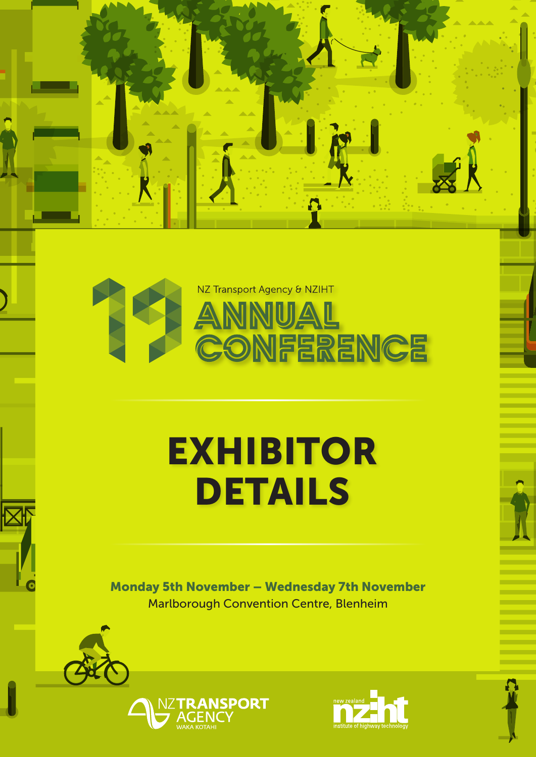

**A** 

# EXHIBITOR DETAILS

Monday 5th November – Wednesday 7th November Marlborough Convention Centre, Blenheim





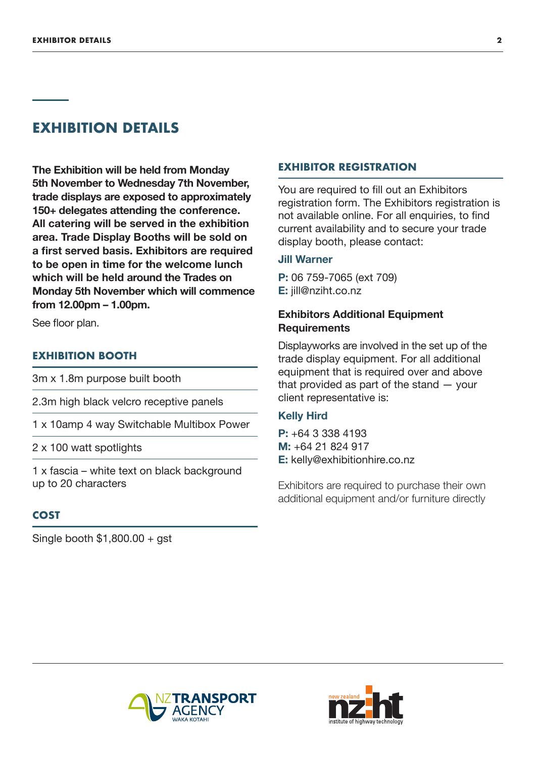# **EXHIBITION DETAILS**

**The Exhibition will be held from Monday 5th November to Wednesday 7th November, trade displays are exposed to approximately 150+ delegates attending the conference. All catering will be served in the exhibition area. Trade Display Booths will be sold on a first served basis. Exhibitors are required to be open in time for the welcome lunch which will be held around the Trades on Monday 5th November which will commence from 12.00pm – 1.00pm.**

See floor plan.

## **EXHIBITION BOOTH**

3m x 1.8m purpose built booth

2.3m high black velcro receptive panels

1 x 10amp 4 way Switchable Multibox Power

2 x 100 watt spotlights

1 x fascia – white text on black background up to 20 characters

## **COST**

Single booth \$1,800.00 + gst

#### **EXHIBITOR REGISTRATION**

You are required to fill out an Exhibitors registration form. The Exhibitors registration is not available online. For all enquiries, to find current availability and to secure your trade display booth, please contact:

#### **Jill Warner**

**P:** 06 759-7065 (ext 709) **E:** jill@nziht.co.nz

# **Exhibitors Additional Equipment Requirements**

Displayworks are involved in the set up of the trade display equipment. For all additional equipment that is required over and above that provided as part of the stand — your client representative is:

#### **Kelly Hird**

**P:** +64 3 338 4193 **M:** +64 21 824 917 **E:** kelly@exhibitionhire.co.nz

Exhibitors are required to purchase their own additional equipment and/or furniture directly